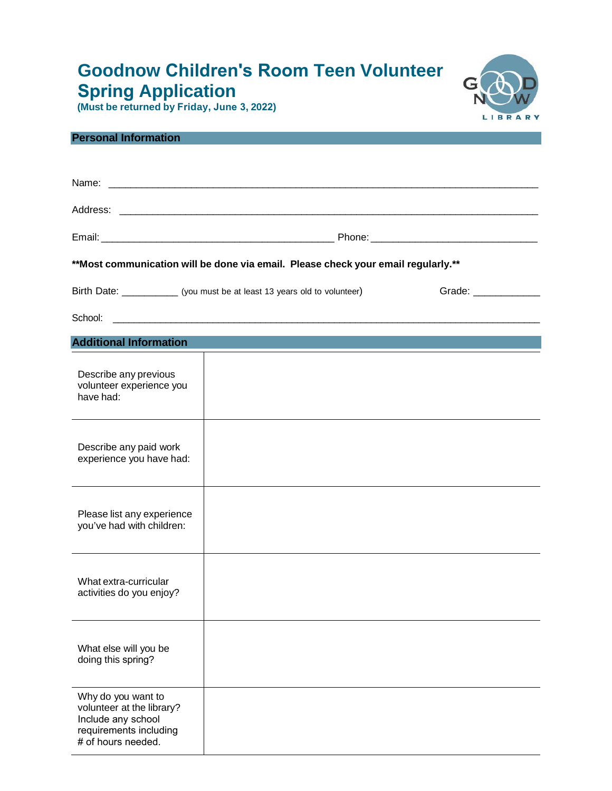## **Goodnow Children's Room Teen Volunteer Spring Application**





| <b>Personal Information</b>                                                                                           |                                                                            |                       |  |  |  |
|-----------------------------------------------------------------------------------------------------------------------|----------------------------------------------------------------------------|-----------------------|--|--|--|
|                                                                                                                       |                                                                            |                       |  |  |  |
|                                                                                                                       |                                                                            |                       |  |  |  |
|                                                                                                                       |                                                                            |                       |  |  |  |
|                                                                                                                       |                                                                            |                       |  |  |  |
| **Most communication will be done via email. Please check your email regularly.**                                     |                                                                            |                       |  |  |  |
|                                                                                                                       | Birth Date: _____________ (you must be at least 13 years old to volunteer) | Grade: ______________ |  |  |  |
|                                                                                                                       |                                                                            |                       |  |  |  |
| <b>Additional Information</b>                                                                                         |                                                                            |                       |  |  |  |
| Describe any previous<br>volunteer experience you<br>have had:                                                        |                                                                            |                       |  |  |  |
| Describe any paid work<br>experience you have had:                                                                    |                                                                            |                       |  |  |  |
| Please list any experience<br>you've had with children:                                                               |                                                                            |                       |  |  |  |
| What extra-curricular<br>activities do you enjoy?                                                                     |                                                                            |                       |  |  |  |
| What else will you be<br>doing this spring?                                                                           |                                                                            |                       |  |  |  |
| Why do you want to<br>volunteer at the library?<br>Include any school<br>requirements including<br># of hours needed. |                                                                            |                       |  |  |  |